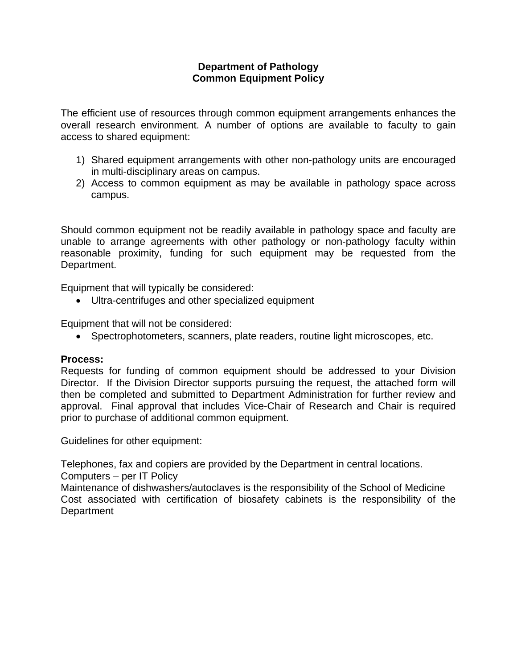## **Department of Pathology Common Equipment Policy**

The efficient use of resources through common equipment arrangements enhances the overall research environment. A number of options are available to faculty to gain access to shared equipment:

- 1) Shared equipment arrangements with other non-pathology units are encouraged in multi-disciplinary areas on campus.
- 2) Access to common equipment as may be available in pathology space across campus.

Should common equipment not be readily available in pathology space and faculty are unable to arrange agreements with other pathology or non-pathology faculty within reasonable proximity, funding for such equipment may be requested from the Department.

Equipment that will typically be considered:

Ultra-centrifuges and other specialized equipment

Equipment that will not be considered:

Spectrophotometers, scanners, plate readers, routine light microscopes, etc.

## **Process:**

Requests for funding of common equipment should be addressed to your Division Director. If the Division Director supports pursuing the request, the attached form will then be completed and submitted to Department Administration for further review and approval. Final approval that includes Vice-Chair of Research and Chair is required prior to purchase of additional common equipment.

Guidelines for other equipment:

Telephones, fax and copiers are provided by the Department in central locations.

Computers – per IT Policy

Maintenance of dishwashers/autoclaves is the responsibility of the School of Medicine Cost associated with certification of biosafety cabinets is the responsibility of the **Department**